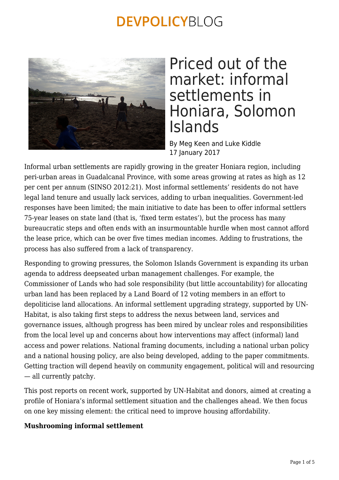

### Priced out of the market: informal settlements in Honiara, Solomon Islands

By Meg Keen and Luke Kiddle 17 January 2017

Informal urban settlements are rapidly growing in the greater Honiara region, including peri-urban areas in Guadalcanal Province, with some areas growing at rates as high as 12 per cent per annum (SINSO 2012:21). Most informal settlements' residents do not have legal land tenure and usually lack services, adding to urban inequalities. Government-led responses have been limited; the main initiative to date has been to offer informal settlers 75-year leases on state land (that is, 'fixed term estates'), but the process has many bureaucratic steps and often ends with an insurmountable hurdle when most cannot afford the lease price, which can be over five times median incomes. Adding to frustrations, the process has also suffered from a lack of transparency.

Responding to growing pressures, the Solomon Islands Government is expanding its urban agenda to address deepseated urban management challenges. For example, the Commissioner of Lands who had sole responsibility (but little accountability) for allocating urban land has been replaced by a Land Board of 12 voting members in an effort to depoliticise land allocations. An informal settlement upgrading strategy, supported by UN-Habitat, is also taking first steps to address the nexus between land, services and governance issues, although progress has been mired by unclear roles and responsibilities from the local level up and concerns about how interventions may affect (informal) land access and power relations. National framing documents, including a national urban policy and a national housing policy, are also being developed, adding to the paper commitments. Getting traction will depend heavily on community engagement, political will and resourcing — all currently patchy.

This post reports on recent work, supported by UN-Habitat and donors, aimed at creating a profile of Honiara's informal settlement situation and the challenges ahead. We then focus on one key missing element: the critical need to improve housing affordability.

### **Mushrooming informal settlement**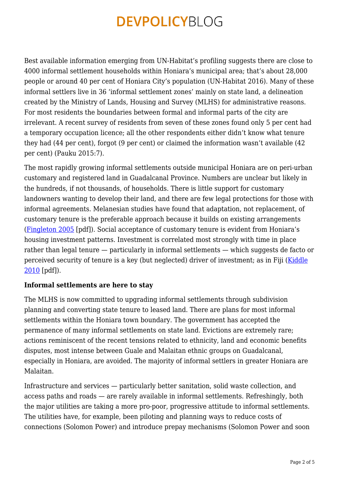Best available information emerging from UN-Habitat's profiling suggests there are close to 4000 informal settlement households within Honiara's municipal area; that's about 28,000 people or around 40 per cent of Honiara City's population (UN-Habitat 2016). Many of these informal settlers live in 36 'informal settlement zones' mainly on state land, a delineation created by the Ministry of Lands, Housing and Survey (MLHS) for administrative reasons. For most residents the boundaries between formal and informal parts of the city are irrelevant. A recent survey of residents from seven of these zones found only 5 per cent had a temporary occupation licence; all the other respondents either didn't know what tenure they had (44 per cent), forgot (9 per cent) or claimed the information wasn't available (42 per cent) (Pauku 2015:7).

The most rapidly growing informal settlements outside municipal Honiara are on peri-urban customary and registered land in Guadalcanal Province. Numbers are unclear but likely in the hundreds, if not thousands, of households. There is little support for customary landowners wanting to develop their land, and there are few legal protections for those with informal agreements. Melanesian studies have found that adaptation, not replacement, of customary tenure is the preferable approach because it builds on existing arrangements ([Fingleton 2005](http://www.tai.org.au/sites/defualt/files/DP80_8.pdf) [pdf]). Social acceptance of customary tenure is evident from Honiara's housing investment patterns. Investment is correlated most strongly with time in place rather than legal tenure — particularly in informal settlements — which suggests de facto or perceived security of tenure is a key (but neglected) driver of investment; as in Fiji ([Kiddle](http://peb.anu.edu.au/pdf/PEB25_3_Kiddle.pdf) [2010](http://peb.anu.edu.au/pdf/PEB25_3_Kiddle.pdf) [pdf]).

### **Informal settlements are here to stay**

The MLHS is now committed to upgrading informal settlements through subdivision planning and converting state tenure to leased land. There are plans for most informal settlements within the Honiara town boundary. The government has accepted the permanence of many informal settlements on state land. Evictions are extremely rare; actions reminiscent of the recent tensions related to ethnicity, land and economic benefits disputes, most intense between Guale and Malaitan ethnic groups on Guadalcanal, especially in Honiara, are avoided. The majority of informal settlers in greater Honiara are Malaitan.

Infrastructure and services — particularly better sanitation, solid waste collection, and access paths and roads — are rarely available in informal settlements. Refreshingly, both the major utilities are taking a more pro-poor, progressive attitude to informal settlements. The utilities have, for example, been piloting and planning ways to reduce costs of connections (Solomon Power) and introduce prepay mechanisms (Solomon Power and soon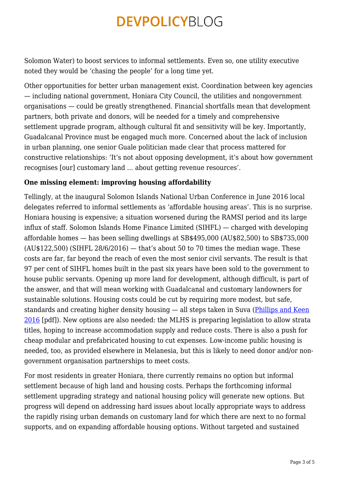Solomon Water) to boost services to informal settlements. Even so, one utility executive noted they would be 'chasing the people' for a long time yet.

Other opportunities for better urban management exist. Coordination between key agencies — including national government, Honiara City Council, the utilities and nongovernment organisations — could be greatly strengthened. Financial shortfalls mean that development partners, both private and donors, will be needed for a timely and comprehensive settlement upgrade program, although cultural fit and sensitivity will be key. Importantly, Guadalcanal Province must be engaged much more. Concerned about the lack of inclusion in urban planning, one senior Guale politician made clear that process mattered for constructive relationships: 'It's not about opposing development, it's about how government recognises [our] customary land … about getting revenue resources'.

### **One missing element: improving housing affordability**

Tellingly, at the inaugural Solomon Islands National Urban Conference in June 2016 local delegates referred to informal settlements as 'affordable housing areas'. This is no surprise. Honiara housing is expensive; a situation worsened during the RAMSI period and its large influx of staff. Solomon Islands Home Finance Limited (SIHFL) — charged with developing affordable homes — has been selling dwellings at SB\$495,000 (AU\$82,500) to SB\$735,000  $(AU$122.500)$  (SIHFL 28/6/2016) — that's about 50 to 70 times the median wage. These costs are far, far beyond the reach of even the most senior civil servants. The result is that 97 per cent of SIHFL homes built in the past six years have been sold to the government to house public servants. Opening up more land for development, although difficult, is part of the answer, and that will mean working with Guadalcanal and customary landowners for sustainable solutions. Housing costs could be cut by requiring more modest, but safe, standards and creating higher density housing — all steps taken in Suva ([Phillips and Keen](http://ssgm.bellschool.anu.edu.au/sites/default/files/publications/attachments/2016-09/dp_2016_6_phillips_and_keen.pdf) [2016](http://ssgm.bellschool.anu.edu.au/sites/default/files/publications/attachments/2016-09/dp_2016_6_phillips_and_keen.pdf) [pdf]). New options are also needed: the MLHS is preparing legislation to allow strata titles, hoping to increase accommodation supply and reduce costs. There is also a push for cheap modular and prefabricated housing to cut expenses. Low-income public housing is needed, too, as provided elsewhere in Melanesia, but this is likely to need donor and/or nongovernment organisation partnerships to meet costs.

For most residents in greater Honiara, there currently remains no option but informal settlement because of high land and housing costs. Perhaps the forthcoming informal settlement upgrading strategy and national housing policy will generate new options. But progress will depend on addressing hard issues about locally appropriate ways to address the rapidly rising urban demands on customary land for which there are next to no formal supports, and on expanding affordable housing options. Without targeted and sustained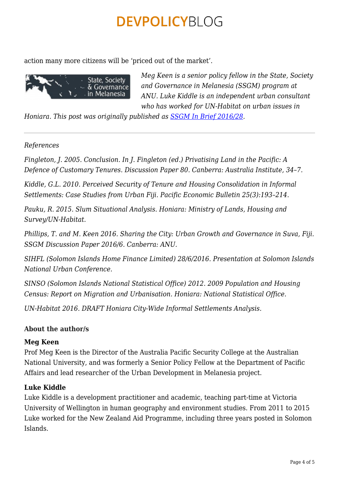action many more citizens will be 'priced out of the market'.



*Meg Keen is a senior policy fellow in the State, Society and Governance in Melanesia (SSGM) program at ANU. Luke Kiddle is an independent urban consultant who has worked for UN-Habitat on urban issues in*

*Honiara. This post was originally published as [SSGM In Brief 2016/28](http://ssgm.bellschool.anu.edu.au/experts-publications/publications/4809/ib201628-priced-out-market-informal-settlements-honiara).*

#### *References*

*Fingleton, J. 2005. Conclusion. In J. Fingleton (ed.) Privatising Land in the Pacific: A Defence of Customary Tenures. Discussion Paper 80. Canberra: Australia Institute, 34–7.*

*Kiddle, G.L. 2010. Perceived Security of Tenure and Housing Consolidation in Informal Settlements: Case Studies from Urban Fiji. Pacific Economic Bulletin 25(3):193–214.*

*Pauku, R. 2015. Slum Situational Analysis. Honiara: Ministry of Lands, Housing and Survey/UN-Habitat.*

*Phillips, T. and M. Keen 2016. Sharing the City: Urban Growth and Governance in Suva, Fiji. SSGM Discussion Paper 2016/6. Canberra: ANU.*

*SIHFL (Solomon Islands Home Finance Limited) 28/6/2016. Presentation at Solomon Islands National Urban Conference.*

*SINSO (Solomon Islands National Statistical Office) 2012. 2009 Population and Housing Census: Report on Migration and Urbanisation. Honiara: National Statistical Office.*

*UN-Habitat 2016. DRAFT Honiara City-Wide Informal Settlements Analysis.*

### **About the author/s**

#### **Meg Keen**

Prof Meg Keen is the Director of the Australia Pacific Security College at the Australian National University, and was formerly a Senior Policy Fellow at the Department of Pacific Affairs and lead researcher of the Urban Development in Melanesia project.

### **Luke Kiddle**

Luke Kiddle is a development practitioner and academic, teaching part-time at Victoria University of Wellington in human geography and environment studies. From 2011 to 2015 Luke worked for the New Zealand Aid Programme, including three years posted in Solomon Islands.